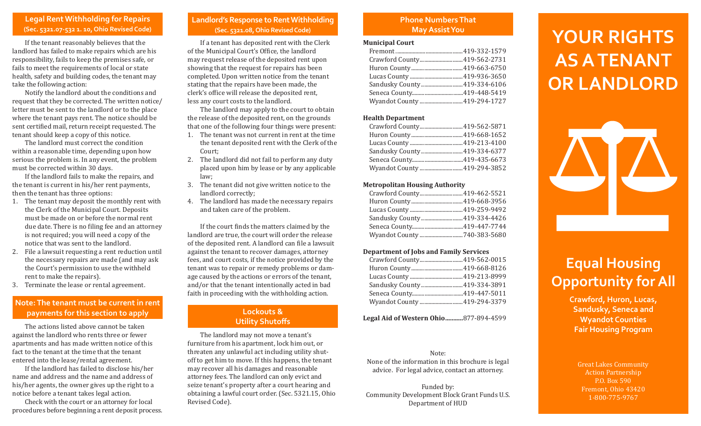#### **Legal Rent Withholding for Repairs (Sec. 5321.07-532 1. 10, Ohio Revised Code)**

If the tenant reasonably believes that the landlord has failed to make repairs which are his responsibility, fails to keep the premises safe, or fails to meet the requirements of local or state health, safety and building codes, the tenant may take the following action:

Notify the landlord about the conditions and request that they be corrected. The written notice/ letter must be sent to the landlord or to the place where the tenant pays rent. The notice should be sent certified mail, return receipt requested. The tenant should keep a copy of this notice.

The landlord must correct the condition within a reasonable time, depending upon how serious the problem is. In any event, the problem must be corrected within 30 days.

If the landlord fails to make the repairs, and the tenant is current in his/her rent payments, then the tenant has three options:

- 1. The tenant may deposit the monthly rent with the Clerk of the Municipal Court. Deposits must be made on or before the normal rent due date. There is no filing fee and an attorney is not required; you will need a copy of the notice that was sent to the landlord.
- 2. File a lawsuit requesting a rent reduction until the necessary repairs are made (and may ask the Court's permission to use the withheld rent to make the repairs).
- Terminate the lease or rental agreement.

### **Note: The tenant must be current in rent payments for this section to apply**

The actions listed above cannot be taken against the landlord who rents three or fewer apartments and has made written notice of this fact to the tenant at the time that the tenant entered into the lease/rental agreement.

If the landlord has failed to disclose his/her name and address and the name and address of his/her agents, the owner gives up the right to a notice before a tenant takes legal action.

Check with the court or an attorney for local procedures before beginning a rent deposit process.

#### **Landlord's Response to Rent Withholding (Sec. 5321.08, Ohio Revised Code)**

If a tenant has deposited rent with the Clerk of the Municipal Court's Office, the landlord may request release of the deposited rent upon showing that the request for repairs has been completed. Upon written notice from the tenant stating that the repairs have been made, the clerk's office will release the deposited rent, less any court costs to the landlord.

The landlord may apply to the court to obtain the release of the deposited rent, on the grounds that one of the following four things were present:

- 1. The tenant was not current in rent at the time the tenant deposited rent with the Clerk of the Court;
- 2. The landlord did not fail to perform any duty placed upon him by lease or by any applicable law;
- 3. The tenant did not give written notice to the landlord correctly;
- 4. The landlord has made the necessary repairs and taken care of the problem.

If the court finds the matters claimed by the landlord are true, the court will order the release of the deposited rent. A landlord can file a lawsuit against the tenant to recover damages, attorney fees, and court costs, if the notice provided by the tenant was to repair or remedy problems or damage caused by the actions or errors of the tenant, and/or that the tenant intentionally acted in bad faith in proceeding with the withholding action.

#### **Lockouts & Utility Shutoffs**

The landlord may not move a tenant's furniture from his apartment, lock him out, or threaten any unlawful act including utility shutoff to get him to move. If this happens, the tenant may recover all his damages and reasonable attorney fees. The landlord can only evict and seize tenant's property after a court hearing and obtaining a lawful court order. (Sec. 5321.15, Ohio Revised Code).

## **Phone Numbers That**

#### **Municipal Court**

| Crawford County419-562-2731  |  |
|------------------------------|--|
|                              |  |
|                              |  |
| Sandusky County 419-334-6106 |  |
|                              |  |
| Wyandot County  419-294-1727 |  |
|                              |  |

#### **Health Department**

| Crawford County 419-562-5871  |
|-------------------------------|
|                               |
|                               |
| Sandusky County  419-334-6377 |
|                               |
| Wyandot County  419-294-3852  |
|                               |

#### **Metropolitan Housing Authority**

| Crawford County 419-462-5521  |
|-------------------------------|
|                               |
|                               |
| Sandusky County  419-334-4426 |
|                               |
| Wyandot County 740-383-5680   |

#### **Department of Jobs and Family Services**

| Crawford County 419-562-0015  |  |
|-------------------------------|--|
|                               |  |
|                               |  |
| Sandusky County  419-334-3891 |  |
|                               |  |
| Wyandot County  419-294-3379  |  |

**Legal Aid of Western Ohio...........**877-894-4599

#### Note:

None of the information in this brochure is legal advice. For legal advice, contact an attorney.

Funded by: Community Development Block Grant Funds U.S. Department of HUD

# **May Assist You Bullet Alleger Article Property Property Alleger Article Property Article Property RIGHTS AS A TENANT OR LANDLORD**



### **Equal Housing Opportunity for All**

**Crawford, Huron, Lucas, Sandusky, Seneca and Wyandot Counties Fair Housing Program**

Great Lakes Community Action Partnership P.O. Box 590 Fremont, Ohio 43420 1-800-775-9767